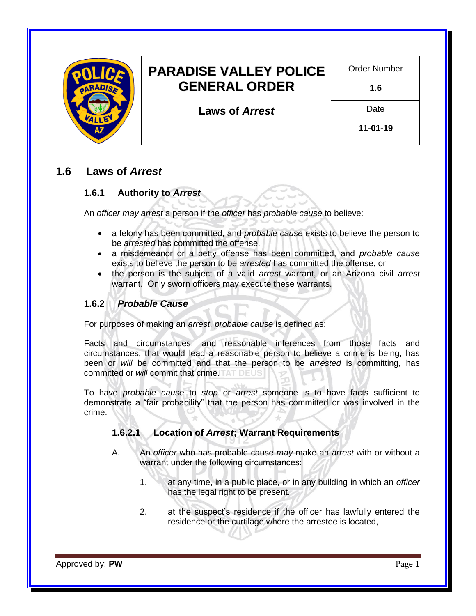

# **1.6 Laws of** *Arrest*

# **1.6.1 Authority to** *Arrest*

An *officer may arrest* a person if the *officer* has *[probable cause](https://www.maricopa.gov/919/Probable-Cause-Versus-Reasonable-Suspici)* to believe:

- a felony has been committed, and *[probable cause](https://www.maricopa.gov/919/Probable-Cause-Versus-Reasonable-Suspici)* exists to believe the person to be *arrested* has committed the offense,
- a misdemeanor or a petty offense has been committed, and *[probable cause](https://www.maricopa.gov/919/Probable-Cause-Versus-Reasonable-Suspici)* exists to believe the person to be *arrested* has committed the offense, or
- the person is the subject of a valid *arrest* warrant, or an Arizona civil *arrest* warrant. Only sworn officers may execute these warrants.

# **1.6.2** *[Probable Cause](https://www.maricopa.gov/919/Probable-Cause-Versus-Reasonable-Suspici)*

For purposes of making an *arrest*, *[probable cause](https://www.maricopa.gov/919/Probable-Cause-Versus-Reasonable-Suspici)* is defined as:

Facts and circumstances, and reasonable inferences from those facts and circumstances, that would lead a reasonable person to believe a crime is being, has been or *will* be committed and that the person to be *arrested* is committing, has committed or *will* commit that crime.

To have *[probable cause](https://www.maricopa.gov/919/Probable-Cause-Versus-Reasonable-Suspici)* to *stop* or *arrest* someone is to have facts sufficient to demonstrate a "fair probability" that the person has committed or was involved in the crime.

### **1.6.2.1 Location of** *Arrest***; Warrant Requirements**

- A. An *officer* who has probable cause *may* make an *arrest* with or without a warrant under the following circumstances:
	- 1. at any time, in a public place, or in any building in which an *officer* has the legal right to be present.
	- 2. at the suspect's residence if the officer has lawfully entered the residence or the curtilage where the arrestee is located,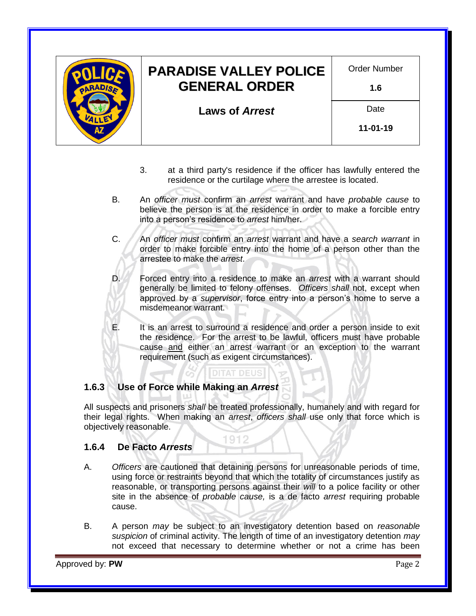

- 3. at a third party's residence if the officer has lawfully entered the residence or the curtilage where the arrestee is located.
- B. An *officer must* confirm an *arrest* warrant and have *[probable cause](https://www.maricopa.gov/919/Probable-Cause-Versus-Reasonable-Suspici)* to believe the person is at the residence in order to make a forcible entry into a person's residence to *arrest* him/her.
- C. An *officer must* confirm an *arrest* warrant and have a *search warrant* in order to make forcible entry into the home of a person other than the arrestee to make the *arrest*.

D. Forced entry into a residence to make an *arrest* with a warrant should generally be limited to felony offenses. *Officers shall* not, except when approved by a *supervisor*, force entry into a person's home to serve a misdemeanor warrant.

E. It is an arrest to surround a residence and order a person inside to exit the residence. For the arrest to be lawful, officers must have probable cause and either an arrest warrant or an exception to the warrant requirement (such as exigent circumstances).

### **1.6.3 Use of Force while Making an** *Arrest*

All suspects and prisoners *shall* be treated professionally, humanely and with regard for their legal rights. When making an *arrest*, *officers shall* use only that force which is objectively reasonable.

**DITAT DEUS** 

1912

#### **1.6.4 De Facto** *Arrests*

- A. *Officers* are cautioned that detaining persons for unreasonable periods of time, using force or restraints beyond that which the totality of circumstances justify as reasonable, or transporting persons against their *will* to a police facility or other site in the absence of *[probable cause,](https://www.maricopa.gov/919/Probable-Cause-Versus-Reasonable-Suspici)* is a de facto *arrest* requiring probable cause.
- B. A person *may* be subject to an investigatory detention based on *[reasonable](https://www.maricopa.gov/919/Probable-Cause-Versus-Reasonable-Suspici)  [suspicion](https://www.maricopa.gov/919/Probable-Cause-Versus-Reasonable-Suspici)* of criminal activity. The length of time of an investigatory detention *may* not exceed that necessary to determine whether or not a crime has been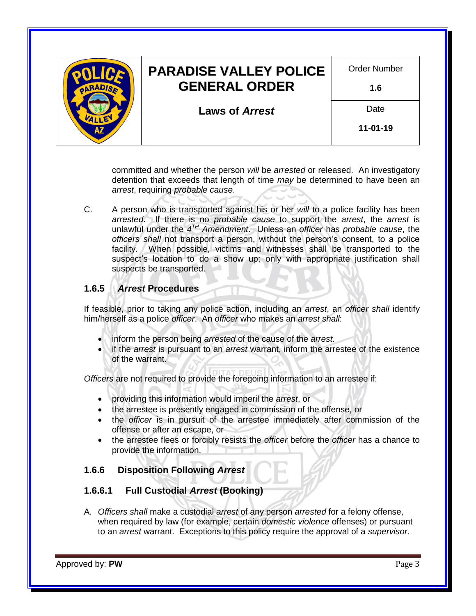

committed and whether the person *will* be *arrested* or released. An investigatory detention that exceeds that length of time *may* be determined to have been an *arrest*, requiring *[probable cause](https://www.maricopa.gov/919/Probable-Cause-Versus-Reasonable-Suspici)*.

C. A person who is transported against his or her *will* to a police facility has been *arrested*. If there is no *[probable cause](https://www.maricopa.gov/919/Probable-Cause-Versus-Reasonable-Suspici)* to support the *arrest*, the *arrest* is unlawful under the *4 TH [Amendment](https://www.gpo.gov/fdsys/pkg/GPO-CONAN-1992/pdf/GPO-CONAN-1992-10-5.pdf)*. Unless an *officer* has *[probable cause](https://www.maricopa.gov/919/Probable-Cause-Versus-Reasonable-Suspici)*, the *officers shall* not transport a person, without the person's consent, to a police facility. When possible, victims and witnesses shall be transported to the suspect's location to do a show up; only with appropriate justification shall suspects be transported.

# **1.6.5** *Arrest* **Procedures**

If feasible, prior to taking any police action, including an *arrest*, an *officer shall* identify him/herself as a police *officer*. An *officer* who makes an *arrest shall*:

- inform the person being *arrested* of the cause of the *arrest*.
- if the *arrest* is pursuant to an *arrest* warrant, inform the arrestee of the existence of the warrant.

*Officers* are not required to provide the foregoing information to an arrestee if:

- providing this information would imperil the *arrest*, or
- the arrestee is presently engaged in commission of the offense, or
- the *officer* is in pursuit of the arrestee immediately after commission of the offense or after an escape, or
- the arrestee flees or forcibly resists the *officer* before the *officer* has a chance to provide the information.

### **1.6.6 Disposition Following** *Arrest*

#### **1.6.6.1 Full Custodial** *Arrest* **(Booking)**

A. *Officers shall* make a custodial *arrest* of any person *arrested* for a felony offense, when required by law (for example, certain *domestic violence* offenses) or pursuant to an *arrest* warrant. Exceptions to this policy require the approval of a *supervisor*.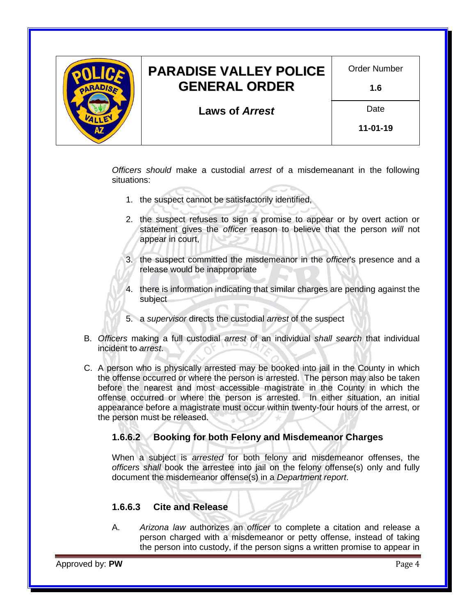

*Officers should* make a custodial *arrest* of a misdemeanant in the following situations:

- 1. the suspect cannot be satisfactorily identified,
- 2. the suspect refuses to sign a promise to appear or by overt action or statement gives the *officer* reason to believe that the person *will* not appear in court,
- 3. the suspect committed the misdemeanor in the *officer*'s presence and a release would be inappropriate
- 4. there is information indicating that similar charges are pending against the subject
- 5. a *supervisor* directs the custodial *arrest* of the suspect
- B. *Officers* making a full custodial *arrest* of an individual *shall search* that individual incident to *arrest*.
- C. A person who is physically arrested may be booked into jail in the County in which the offense occurred or where the person is arrested. The person may also be taken before the nearest and most accessible magistrate in the County in which the offense occurred or where the person is arrested. In either situation, an initial appearance before a magistrate must occur within twenty-four hours of the arrest, or the person must be released.

### **1.6.6.2 Booking for both Felony and Misdemeanor Charges**

When a subject is *arrested* for both felony and misdemeanor offenses, the *officers shall* book the arrestee into jail on the felony offense(s) only and fully document the misdemeanor offense(s) in a *Department report*.

### **1.6.6.3 Cite and Release**

A. *[Arizona law](http://www.azleg.gov/arstitle/)* authorizes an *officer* to complete a citation and release a person charged with a misdemeanor or petty offense, instead of taking the person into custody, if the person signs a written promise to appear in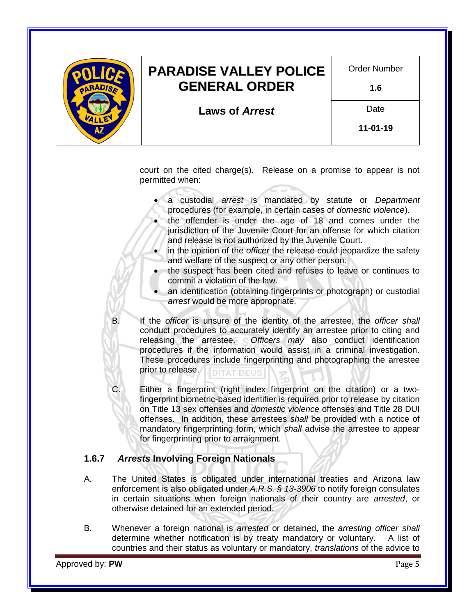

court on the cited charge(s). Release on a promise to appear is not permitted when:

- a custodial *arrest* is mandated by statute or *Department* procedures (for example, in certain cases of *domestic violence*).
- the offender is under the age of 18 and comes under the jurisdiction of the Juvenile Court for an offense for which citation and release is not authorized by the Juvenile Court.
- in the opinion of the *officer* the release could jeopardize the safety and welfare of the suspect or any other person.
- the suspect has been cited and refuses to leave or continues to commit a violation of the law.
- an identification (obtaining fingerprints or photograph) or custodial *arrest* would be more appropriate.
- B. If the *officer* is unsure of the identity of the arrestee, the *officer shall* conduct procedures to accurately identify an arrestee prior to citing and releasing the arrestee. *Officers may* also conduct identification procedures if the information would assist in a criminal investigation. These procedures include fingerprinting and photographing the arrestee prior to release. **DITAT DEUS**
- C. Either a fingerprint (right index fingerprint on the citation) or a twofingerprint biometric-based identifier is required prior to release by citation on Title 13 sex offenses and *domestic violence* offenses and Title 28 DUI offenses. In addition, these arrestees *shall* be provided with a notice of mandatory fingerprinting form, which *shall* advise the arrestee to appear for fingerprinting prior to arraignment.

# **1.6.7** *Arrests* **Involving Foreign Nationals**

- A. The United States is obligated under international treaties and Arizona law enforcement is also obligated under *[A.R.S. § 13-3906](https://www.azleg.gov/viewdocument/?docName=https://www.azleg.gov/ars/13/03906.htm)* to notify foreign consulates in certain situations when foreign nationals of their country are *arrested*, or otherwise detained for an extended period.
- B. Whenever a foreign national is *arrested* or detained, the *arresting officer shall* determine whether notification is by treaty mandatory or voluntary. A list of countries and their status as voluntary or mandatory, *translations* of the advice to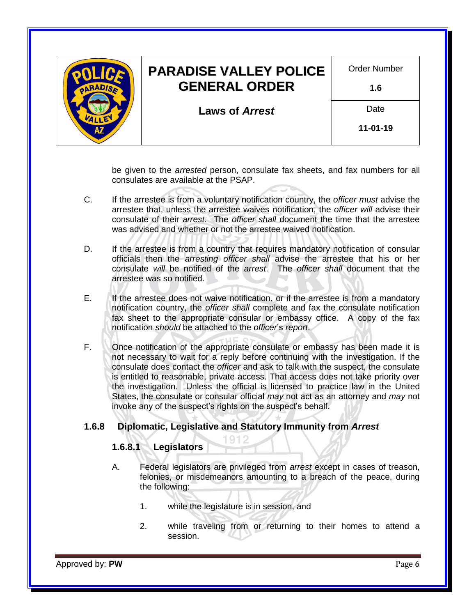

be given to the *arrested* person, consulate fax sheets, and fax numbers for all consulates are available at the PSAP.

- C. If the arrestee is from a voluntary notification country, the *officer must* advise the arrestee that, unless the arrestee waives notification, the *officer will* advise their consulate of their *arrest*. The *officer shall* document the time that the arrestee was advised and whether or not the arrestee waived notification.
- D. If the arrestee is from a country that requires mandatory notification of consular officials then the *arresting officer shall* advise the arrestee that his or her consulate *will* be notified of the *arrest*. The *officer shall* document that the arrestee was so notified.
- E. If the arrestee does not waive notification, or if the arrestee is from a mandatory notification country, the *officer shall* complete and fax the consulate notification fax sheet to the appropriate consular or embassy office. A copy of the fax notification *should* be attached to the *officer*'s *report*.
- F. Once notification of the appropriate consulate or embassy has been made it is not necessary to wait for a reply before continuing with the investigation. If the consulate does contact the *officer* and ask to talk with the suspect, the consulate is entitled to reasonable, private access. That access does not take priority over the investigation. Unless the official is licensed to practice law in the United States, the consulate or consular official *may* not act as an attorney and *may* not invoke any of the suspect's rights on the suspect's behalf.

### **1.6.8 Diplomatic, Legislative and Statutory Immunity from** *Arrest*

### **1.6.8.1 Legislators**

- A. Federal legislators are privileged from *arrest* except in cases of treason, felonies, or misdemeanors amounting to a breach of the peace, during the following:
	- 1. while the legislature is in session, and
	- 2. while traveling from or returning to their homes to attend a session.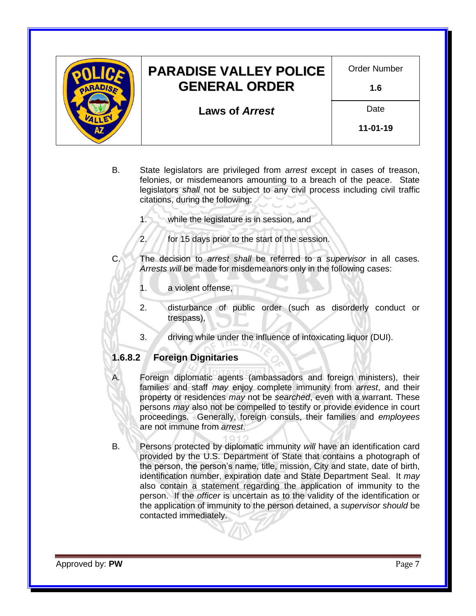

- B. State legislators are privileged from *arrest* except in cases of treason, felonies, or misdemeanors amounting to a breach of the peace. State legislators *shall* not be subject to any civil process including civil traffic citations, during the following:
	- 1. while the legislature is in session, and
	- 2. for 15 days prior to the start of the session.
- C. The decision to *arrest shall* be referred to a *supervisor* in all cases. *Arrests will* be made for misdemeanors only in the following cases:
	- 1. a violent offense,
	- 2. disturbance of public order (such as disorderly conduct or trespass),
	- 3. driving while under the influence of intoxicating liquor (DUI).

### **1.6.8.2 Foreign Dignitaries**

- A. Foreign diplomatic agents (ambassadors and foreign ministers), their families and staff *may* enjoy complete immunity from *arrest*, and their property or residences *may* not be *searched*, even with a warrant. These persons *may* also not be compelled to testify or provide evidence in court proceedings. Generally, foreign consuls, their families and *employees* are not immune from *arrest*.
- B. Persons protected by diplomatic immunity *will* have an identification card provided by the U.S. Department of State that contains a photograph of the person, the person's name, title, mission, City and state, date of birth, identification number, expiration date and State Department Seal. It *may* also contain a statement regarding the application of immunity to the person. If the *officer* is uncertain as to the validity of the identification or the application of immunity to the person detained, a *supervisor should* be contacted immediately.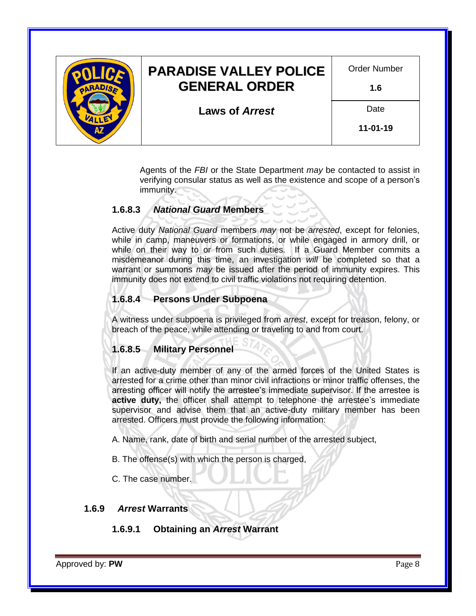

Agents of the *[FBI](https://www.fbi.gov/)* or the State Department *may* be contacted to assist in verifying consular status as well as the existence and scope of a person's immunity.

# **1.6.8.3** *[National Guard](https://dema.az.gov/army-national-guard)* **Members**

Active duty *[National Guard](https://dema.az.gov/army-national-guard)* members *may* not be *arrested*, except for felonies, while in camp, maneuvers or formations, or while engaged in armory drill, or while on their way to or from such duties. If a Guard Member commits a misdemeanor during this time, an investigation *will* be completed so that a warrant or summons *may* be issued after the period of immunity expires. This immunity does not extend to civil traffic violations not requiring detention.

# **1.6.8.4 Persons Under Subpoena**

A witness under subpoena is privileged from *arrest*, except for treason, felony, or breach of the peace, while attending or traveling to and from court.

### **1.6.8.5 Military Personnel**

If an active-duty member of any of the armed forces of the United States is arrested for a crime other than minor civil infractions or minor traffic offenses, the arresting officer will notify the arrestee's immediate supervisor. If the arrestee is **active duty,** the officer shall attempt to telephone the arrestee's immediate supervisor and advise them that an active-duty military member has been arrested. Officers must provide the following information:

A. Name, rank, date of birth and serial number of the arrested subject,

B. The offense(s) with which the person is charged,

C. The case number.

### **1.6.9** *Arrest* **Warrants**

# **1.6.9.1 Obtaining an** *Arrest* **Warrant**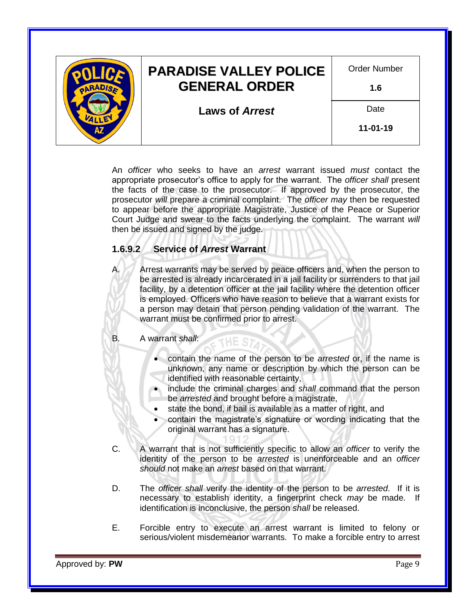

An *officer* who seeks to have an *arrest* warrant issued *must* contact the appropriate prosecutor's office to apply for the warrant. The *officer shall* present the facts of the case to the prosecutor. If approved by the prosecutor, the prosecutor *will* prepare a criminal complaint. The *officer may* then be requested to appear before the appropriate Magistrate, Justice of the Peace or Superior Court Judge and swear to the facts underlying the complaint. The warrant *will* then be issued and signed by the judge.

# **1.6.9.2 Service of** *Arrest* **Warrant**

Arrest warrants may be served by peace officers and, when the person to be arrested is already incarcerated in a jail facility or surrenders to that jail facility, by a detention officer at the jail facility where the detention officer is employed. Officers who have reason to believe that a warrant exists for a person may detain that person pending validation of the warrant. The warrant must be confirmed prior to arrest.

#### B. A warrant *shall*:

- contain the name of the person to be *arrested* or, if the name is unknown, any name or description by which the person can be identified with reasonable certainty,
- include the criminal charges and *shall* command that the person be *arrested* and brought before a magistrate,
- state the bond, if bail is available as a matter of right, and

THE ST

- contain the magistrate's signature or wording indicating that the original warrant has a signature.
- C. A warrant that is not sufficiently specific to allow an *officer* to verify the identity of the person to be *arrested* is unenforceable and an *officer should* not make an *arrest* based on that warrant.
- D. The *officer shall* verify the identity of the person to be *arrested*. If it is necessary to establish identity, a fingerprint check *may* be made. If identification is inconclusive, the person *shall* be released.
- E. Forcible entry to execute an arrest warrant is limited to felony or serious/violent misdemeanor warrants. To make a forcible entry to arrest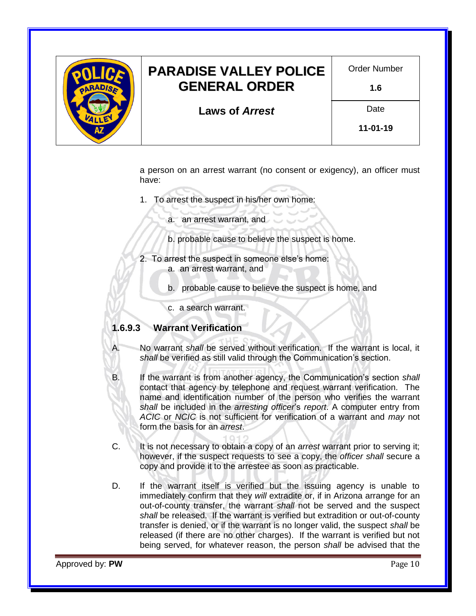

a person on an arrest warrant (no consent or exigency), an officer must have:

- 1. To arrest the suspect in his/her own home:
	- a. an arrest warrant, and
	- b. probable cause to believe the suspect is home.
- 2. To arrest the suspect in someone else's home: a. an arrest warrant, and
	- b. probable cause to believe the suspect is home, and
	- c. a search warrant.

#### **1.6.9.3 Warrant Verification**

A. No warrant *shall* be served without verification. If the warrant is local, it *shall* be verified as still valid through the Communication's section.

B. If the warrant is from another agency, the Communication's section *shall* contact that agency by telephone and request warrant verification. The name and identification number of the person who verifies the warrant *shall* be included in the *arresting officer*'s *report*. A computer entry from *ACIC* or *NCIC* is not sufficient for verification of a warrant and *may* not form the basis for an *arrest*.

- C. It is not necessary to obtain a copy of an *arrest* warrant prior to serving it; however, if the suspect requests to see a copy, the *officer shall* secure a copy and provide it to the arrestee as soon as practicable.
- D. If the warrant itself is verified but the issuing agency is unable to immediately confirm that they *will* extradite or, if in Arizona arrange for an out-of-county transfer, the warrant *shall* not be served and the suspect *shall* be released. If the warrant is verified but extradition or out-of-county transfer is denied, or if the warrant is no longer valid, the suspect *shall* be released (if there are no other charges). If the warrant is verified but not being served, for whatever reason, the person *shall* be advised that the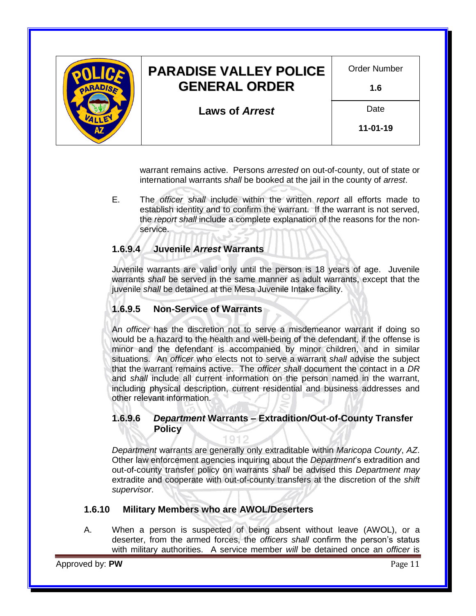

warrant remains active. Persons *arrested* on out-of-county, out of state or international warrants *shall* be booked at the jail in the county of *arrest*.

E. The *officer shall* include within the written *report* all efforts made to establish identity and to confirm the warrant. If the warrant is not served, the *report shall* include a complete explanation of the reasons for the nonservice.

# **1.6.9.4 Juvenile** *Arrest* **Warrants**

Juvenile warrants are valid only until the person is 18 years of age. Juvenile warrants *shall* be served in the same manner as adult warrants, except that the juvenile *shall* be detained at the Mesa Juvenile Intake facility.

### **1.6.9.5 Non-Service of Warrants**

An *officer* has the discretion not to serve a misdemeanor warrant if doing so would be a hazard to the health and well-being of the defendant, if the offense is minor and the defendant is accompanied by minor children, and in similar situations. An *officer* who elects not to serve a warrant *shall* advise the subject that the warrant remains active. The *officer shall* document the contact in a *DR* and *shall* include all current information on the person named in the warrant, including physical description, current residential and business addresses and other relevant information.

### **1.6.9.6** *Department* **Warrants – Extradition/Out-of-County Transfer Policy**

*Department* warrants are generally only extraditable within *[Maricopa County](https://www.maricopa.gov/)*, *[AZ](https://az.gov/)*. Other law enforcement agencies inquiring about the *Department*'s extradition and out-of-county transfer policy on warrants *shall* be advised this *Department may* extradite and cooperate with out-of-county transfers at the discretion of the *shift supervisor*.

### **1.6.10 Military Members who are AWOL/Deserters**

A. When a person is suspected of being absent without leave (AWOL), or a deserter, from the armed forces, the *officers shall* confirm the person's status with military authorities. A service member *will* be detained once an *officer* is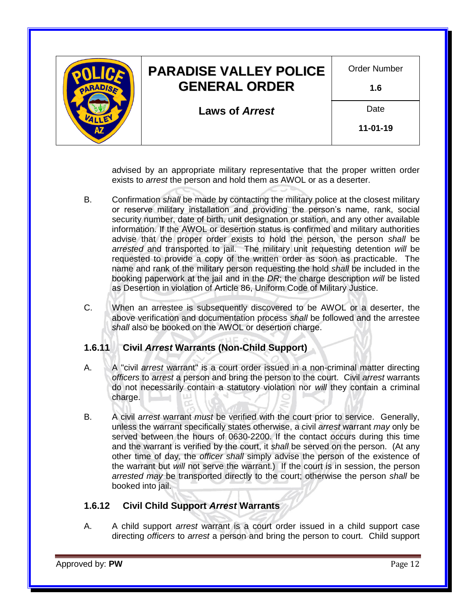

advised by an appropriate military representative that the proper written order exists to *arrest* the person and hold them as AWOL or as a deserter.

- B. Confirmation *shall* be made by contacting the military police at the closest military or reserve military installation and providing the person's name, rank, social security number, date of birth, unit designation or station, and any other available information. If the AWOL or desertion status is confirmed and military authorities advise that the proper order exists to hold the person, the person *shall* be *arrested* and transported to jail. The military unit requesting detention *will* be requested to provide a copy of the written order as soon as practicable. The name and rank of the military person requesting the hold *shall* be included in the booking paperwork at the jail and in the *DR*; the charge description *will* be listed as Desertion in violation of Article 86, Uniform Code of Military Justice.
- C. When an arrestee is subsequently discovered to be AWOL or a deserter, the above verification and documentation process *shall* be followed and the arrestee *shall* also be booked on the AWOL or desertion charge.

### **1.6.11 Civil** *Arrest* **Warrants (Non-Child Support)**

- A. A "civil *arrest* warrant" is a court order issued in a non-criminal matter directing *officers* to *arrest* a person and bring the person to the court. Civil *arrest* warrants do not necessarily contain a statutory violation nor *will* they contain a criminal charge.
- B. A civil *arrest* warrant *must* be verified with the court prior to service. Generally, unless the warrant specifically states otherwise, a civil *arrest* warrant *may* only be served between the hours of 0630-2200. If the contact occurs during this time and the warrant is verified by the court, it *shall* be served on the person. (At any other time of day, the *officer shall* simply advise the person of the existence of the warrant but *will* not serve the warrant.) If the court is in session, the person *arrested may* be transported directly to the court; otherwise the person *shall* be booked into jail.

### **1.6.12 Civil Child Support** *Arrest* **Warrants**

A. A child support *arrest* warrant is a court order issued in a child support case directing *officers* to *arrest* a person and bring the person to court. Child support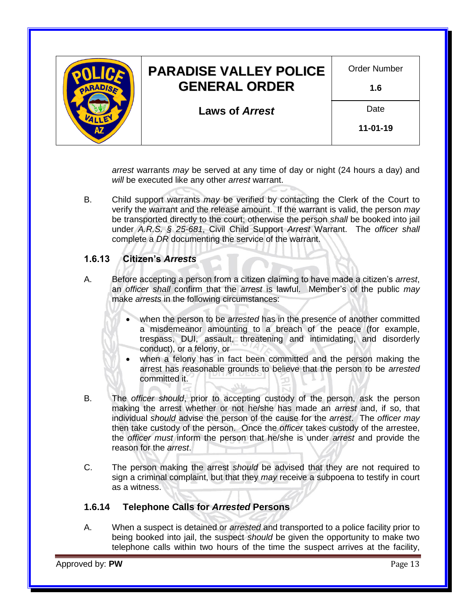

*arrest* warrants *may* be served at any time of day or night (24 hours a day) and *will* be executed like any other *arrest* warrant.

B. Child support warrants *may* be verified by contacting the Clerk of the Court to verify the warrant and the release amount. If the warrant is valid, the person *may* be transported directly to the court; otherwise the person *shall* be booked into jail under *[A.R.S. § 25-681](https://www.azleg.gov/viewdocument/?docName=https://www.azleg.gov/ars/25/00681.htm)*, Civil Child Support *Arrest* Warrant. The *officer shall* complete a *DR* documenting the service of the warrant.

### **1.6.13 Citizen's** *Arrests*

- A. Before accepting a person from a citizen claiming to have made a citizen's *arrest*, an *officer shall* confirm that the *arrest* is lawful. Member's of the public *may* make *arrests* in the following circumstances:
	- when the person to be *arrested* has in the presence of another committed a misdemeanor amounting to a breach of the peace (for example, trespass, DUI, assault, threatening and intimidating, and disorderly conduct), or a felony, or
	- when a felony has in fact been committed and the person making the arrest has reasonable grounds to believe that the person to be *arrested* committed it.
- B. The *officer should*, prior to accepting custody of the person, ask the person making the arrest whether or not he/she has made an *arrest* and, if so, that individual *should* advise the person of the cause for the *arrest*. The *officer may* then take custody of the person. Once the *officer* takes custody of the arrestee, the *officer must* inform the person that he/she is under *arrest* and provide the reason for the *arrest*.
- C. The person making the arrest *should* be advised that they are not required to sign a criminal complaint, but that they *may* receive a subpoena to testify in court as a witness.

### **1.6.14 Telephone Calls for** *Arrested* **Persons**

A. When a suspect is detained or *arrested* and transported to a police facility prior to being booked into jail, the suspect *should* be given the opportunity to make two telephone calls within two hours of the time the suspect arrives at the facility,